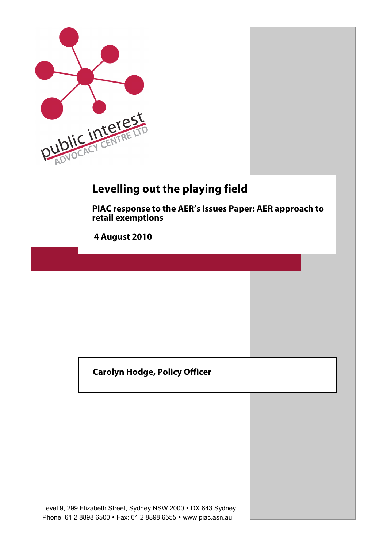

### **Carolyn Hodge, Policy Officer**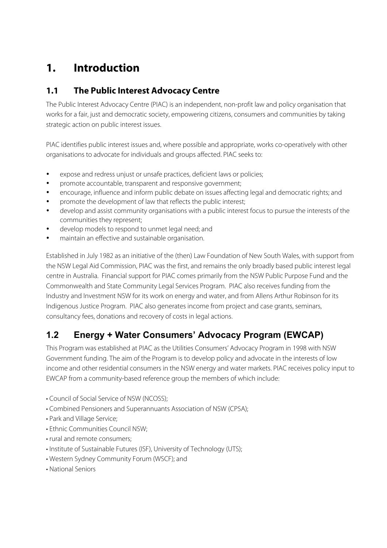# **1. Introduction**

### **1.1 The Public Interest Advocacy Centre**

The Public Interest Advocacy Centre (PIAC) is an independent, non-profit law and policy organisation that works for a fair, just and democratic society, empowering citizens, consumers and communities by taking strategic action on public interest issues.

PIAC identifies public interest issues and, where possible and appropriate, works co-operatively with other organisations to advocate for individuals and groups affected. PIAC seeks to:

- expose and redress unjust or unsafe practices, deficient laws or policies;
- promote accountable, transparent and responsive government;
- encourage, influence and inform public debate on issues affecting legal and democratic rights; and
- promote the development of law that reflects the public interest;
- develop and assist community organisations with a public interest focus to pursue the interests of the communities they represent;
- develop models to respond to unmet legal need; and
- maintain an effective and sustainable organisation.

Established in July 1982 as an initiative of the (then) Law Foundation of New South Wales, with support from the NSW Legal Aid Commission, PIAC was the first, and remains the only broadly based public interest legal centre in Australia. Financial support for PIAC comes primarily from the NSW Public Purpose Fund and the Commonwealth and State Community Legal Services Program. PIAC also receives funding from the Industry and Investment NSW for its work on energy and water, and from Allens Arthur Robinson for its Indigenous Justice Program. PIAC also generates income from project and case grants, seminars, consultancy fees, donations and recovery of costs in legal actions.

### **1.2 Energy + Water Consumers' Advocacy Program (EWCAP)**

This Program was established at PIAC as the Utilities Consumers' Advocacy Program in 1998 with NSW Government funding. The aim of the Program is to develop policy and advocate in the interests of low income and other residential consumers in the NSW energy and water markets. PIAC receives policy input to EWCAP from a community-based reference group the members of which include:

- Council of Social Service of NSW (NCOSS);
- Combined Pensioners and Superannuants Association of NSW (CPSA);
- Park and Village Service;
- Ethnic Communities Council NSW;
- rural and remote consumers;
- Institute of Sustainable Futures (ISF), University of Technology (UTS);
- Western Sydney Community Forum (WSCF); and
- National Seniors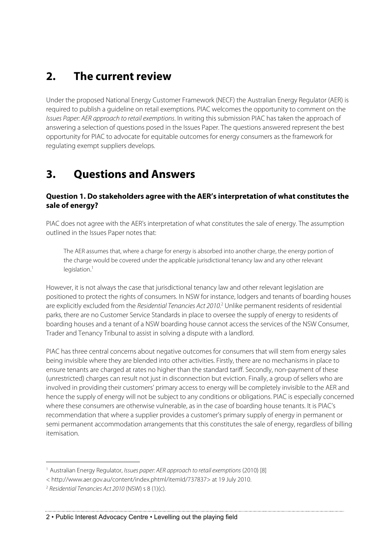# **2. The current review**

Under the proposed National Energy Customer Framework (NECF) the Australian Energy Regulator (AER) is required to publish a guideline on retail exemptions. PIAC welcomes the opportunity to comment on the Issues Paper: AER approach to retail exemptions. In writing this submission PIAC has taken the approach of answering a selection of questions posed in the Issues Paper. The questions answered represent the best opportunity for PIAC to advocate for equitable outcomes for energy consumers as the framework for regulating exempt suppliers develops.

# **3. Questions and Answers**

#### **Question 1. Do stakeholders agree with the AER's interpretation of what constitutes the sale of energy?**

PIAC does not agree with the AER's interpretation of what constitutes the sale of energy. The assumption outlined in the Issues Paper notes that:

The AER assumes that, where a charge for energy is absorbed into another charge, the energy portion of the charge would be covered under the applicable jurisdictional tenancy law and any other relevant legislation. 1

However, it is not always the case that jurisdictional tenancy law and other relevant legislation are positioned to protect the rights of consumers. In NSW for instance, lodgers and tenants of boarding houses are explicitly excluded from the *Residential Tenancies Act 2010.*<sup>2</sup> Unlike permanent residents of residential parks, there are no Customer Service Standards in place to oversee the supply of energy to residents of boarding houses and a tenant of a NSW boarding house cannot access the services of the NSW Consumer, Trader and Tenancy Tribunal to assist in solving a dispute with a landlord.

PIAC has three central concerns about negative outcomes for consumers that will stem from energy sales being invisible where they are blended into other activities. Firstly, there are no mechanisms in place to ensure tenants are charged at rates no higher than the standard tariff. Secondly, non-payment of these (unrestricted) charges can result not just in disconnection but eviction. Finally, a group of sellers who are involved in providing their customers' primary access to energy will be completely invisible to the AER and hence the supply of energy will not be subject to any conditions or obligations. PIAC is especially concerned where these consumers are otherwise vulnerable, as in the case of boarding house tenants. It is PIAC's recommendation that where a supplier provides a customer's primary supply of energy in permanent or semi permanent accommodation arrangements that this constitutes the sale of energy, regardless of billing itemisation.

 $\overline{a}$ 

<sup>&</sup>lt;sup>1</sup> Australian Energy Regulator, Issues paper: AER approach to retail exemptions (2010) [8]

<sup>&</sup>lt; http://www.aer.gov.au/content/index.phtml/itemId/737837> at 19 July 2010.

 $2$  Residential Tenancies Act 2010 (NSW) s 8 (1)(c).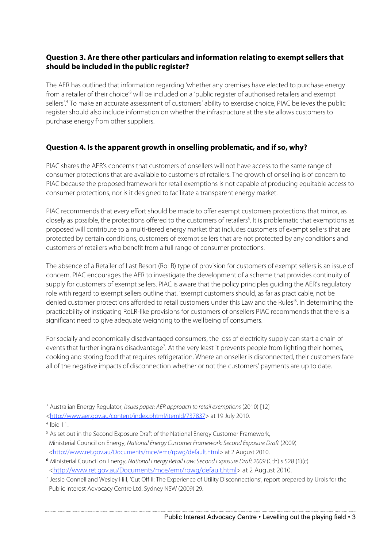#### **Question 3. Are there other particulars and information relating to exempt sellers that should be included in the public register?**

The AER has outlined that information regarding 'whether any premises have elected to purchase energy from a retailer of their choice<sup>3</sup> will be included on a 'public register of authorised retailers and exempt sellers'.4 To make an accurate assessment of customers' ability to exercise choice, PIAC believes the public register should also include information on whether the infrastructure at the site allows customers to purchase energy from other suppliers.

#### **Question 4. Is the apparent growth in onselling problematic, and if so, why?**

PIAC shares the AER's concerns that customers of onsellers will not have access to the same range of consumer protections that are available to customers of retailers. The growth of onselling is of concern to PIAC because the proposed framework for retail exemptions is not capable of producing equitable access to consumer protections, nor is it designed to facilitate a transparent energy market.

PIAC recommends that every effort should be made to offer exempt customers protections that mirror, as closely as possible, the protections offered to the customers of retailers<sup>5</sup>. It is problematic that exemptions as proposed will contribute to a multi-tiered energy market that includes customers of exempt sellers that are protected by certain conditions, customers of exempt sellers that are not protected by any conditions and customers of retailers who benefit from a full range of consumer protections.

The absence of a Retailer of Last Resort (RoLR) type of provision for customers of exempt sellers is an issue of concern. PIAC encourages the AER to investigate the development of a scheme that provides continuity of supply for customers of exempt sellers. PIAC is aware that the policy principles guiding the AER's regulatory role with regard to exempt sellers outline that, 'exempt customers should, as far as practicable, not be denied customer protections afforded to retail customers under this Law and the Rules' 6 . In determining the practicability of instigating RoLR-like provisions for customers of onsellers PIAC recommends that there is a significant need to give adequate weighting to the wellbeing of consumers.

For socially and economically disadvantaged consumers, the loss of electricity supply can start a chain of events that further ingrains disadvantage<sup>7</sup>. At the very least it prevents people from lighting their homes, cooking and storing food that requires refrigeration. Where an onseller is disconnected, their customers face all of the negative impacts of disconnection whether or not the customers' payments are up to date.

<sup>&</sup>lt;sup>3</sup> Australian Energy Regulator, Issues paper: AER approach to retail exemptions (2010) [12] <http://www.aer.gov.au/content/index.phtml/itemId/737837> at 19 July 2010.

 $4$  Ibid 11.

<sup>&</sup>lt;sup>5</sup> As set out in the Second Exposure Draft of the National Energy Customer Framework, Ministerial Council on Energy, National Energy Customer Framework: Second Exposure Draft (2009) <http://www.ret.gov.au/Documents/mce/emr/rpwg/default.html> at 2 August 2010.

<sup>6</sup> Ministerial Council on Energy, National Energy Retail Law: Second Exposure Draft 2009 (Cth) s 528 (1)(c) <http://www.ret.gov.au/Documents/mce/emr/rpwg/default.html> at 2 August 2010.

<sup>7</sup> Jessie Connell and Wesley Hill, 'Cut Off II: The Experience of Utility Disconnections', report prepared by Urbis for the Public Interest Advocacy Centre Ltd, Sydney NSW (2009) 29.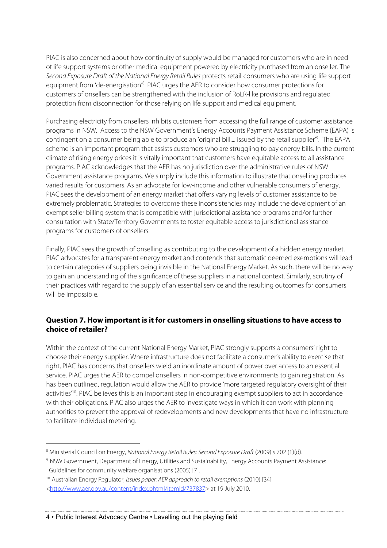PIAC is also concerned about how continuity of supply would be managed for customers who are in need of life support systems or other medical equipment powered by electricity purchased from an onseller. The Second Exposure Draft of the National Energy Retail Rules protects retail consumers who are using life support equipment from 'de-energisation'<sup>8</sup>. PIAC urges the AER to consider how consumer protections for customers of onsellers can be strengthened with the inclusion of RoLR-like provisions and regulated protection from disconnection for those relying on life support and medical equipment.

Purchasing electricity from onsellers inhibits customers from accessing the full range of customer assistance programs in NSW. Access to the NSW Government's Energy Accounts Payment Assistance Scheme (EAPA) is contingent on a consumer being able to produce an 'original bill.... issued by the retail supplier<sup>'9</sup>. The EAPA scheme is an important program that assists customers who are struggling to pay energy bills. In the current climate of rising energy prices it is vitally important that customers have equitable access to all assistance programs. PIAC acknowledges that the AER has no jurisdiction over the administrative rules of NSW Government assistance programs. We simply include this information to illustrate that onselling produces varied results for customers. As an advocate for low-income and other vulnerable consumers of energy, PIAC sees the development of an energy market that offers varying levels of customer assistance to be extremely problematic. Strategies to overcome these inconsistencies may include the development of an exempt seller billing system that is compatible with jurisdictional assistance programs and/or further consultation with State/Territory Governments to foster equitable access to jurisdictional assistance programs for customers of onsellers.

Finally, PIAC sees the growth of onselling as contributing to the development of a hidden energy market. PIAC advocates for a transparent energy market and contends that automatic deemed exemptions will lead to certain categories of suppliers being invisible in the National Energy Market. As such, there will be no way to gain an understanding of the significance of these suppliers in a national context. Similarly, scrutiny of their practices with regard to the supply of an essential service and the resulting outcomes for consumers will be impossible.

#### **Question 7. How important is it for customers in onselling situations to have access to choice of retailer?**

Within the context of the current National Energy Market, PIAC strongly supports a consumers' right to choose their energy supplier. Where infrastructure does not facilitate a consumer's ability to exercise that right, PIAC has concerns that onsellers wield an inordinate amount of power over access to an essential service. PIAC urges the AER to compel onsellers in non-competitive environments to gain registration. As has been outlined, regulation would allow the AER to provide 'more targeted regulatory oversight of their activities<sup>'10</sup>. PIAC believes this is an important step in encouraging exempt suppliers to act in accordance with their obligations. PIAC also urges the AER to investigate ways in which it can work with planning authorities to prevent the approval of redevelopments and new developments that have no infrastructure to facilitate individual metering.

<sup>&</sup>lt;sup>8</sup> Ministerial Council on Energy, *National Energy Retail Rules: Second Exposure Draft* (2009) s 702 (1)(d).

<sup>9</sup> NSW Government, Department of Energy, Utilities and Sustainability, Energy Accounts Payment Assistance: Guidelines for community welfare organisations (2005) [7].

<sup>&</sup>lt;sup>10</sup> Australian Energy Regulator, Issues paper: AER approach to retail exemptions (2010) [34] <http://www.aer.gov.au/content/index.phtml/itemId/737837> at 19 July 2010.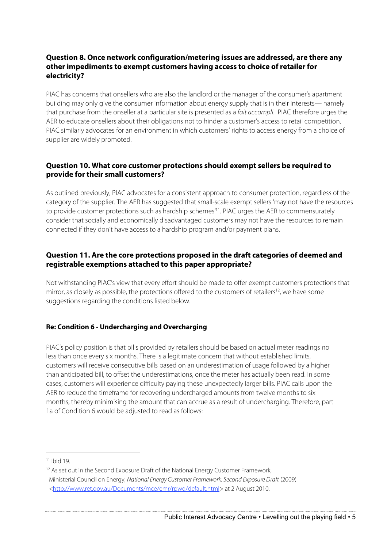#### **Question 8. Once network configuration/metering issues are addressed, are there any other impediments to exempt customers having access to choice of retailer for electricity?**

PIAC has concerns that onsellers who are also the landlord or the manager of the consumer's apartment building may only give the consumer information about energy supply that is in their interests— namely that purchase from the onseller at a particular site is presented as a fait accompli. PIAC therefore urges the AER to educate onsellers about their obligations not to hinder a customer's access to retail competition. PIAC similarly advocates for an environment in which customers' rights to access energy from a choice of supplier are widely promoted.

#### **Question 10. What core customer protections should exempt sellers be required to provide for their small customers?**

As outlined previously, PIAC advocates for a consistent approach to consumer protection, regardless of the category of the supplier. The AER has suggested that small-scale exempt sellers 'may not have the resources to provide customer protections such as hardship schemes' 11. PIAC urges the AER to commensurately consider that socially and economically disadvantaged customers may not have the resources to remain connected if they don't have access to a hardship program and/or payment plans.

#### **Question 11. Are the core protections proposed in the draft categories of deemed and registrable exemptions attached to this paper appropriate?**

Not withstanding PIAC's view that every effort should be made to offer exempt customers protections that mirror, as closely as possible, the protections offered to the customers of retailers<sup>12</sup>, we have some suggestions regarding the conditions listed below.

#### **Re: Condition 6 - Undercharging and Overcharging**

PIAC's policy position is that bills provided by retailers should be based on actual meter readings no less than once every six months. There is a legitimate concern that without established limits, customers will receive consecutive bills based on an underestimation of usage followed by a higher than anticipated bill, to offset the underestimations, once the meter has actually been read. In some cases, customers will experience difficulty paying these unexpectedly larger bills. PIAC calls upon the AER to reduce the timeframe for recovering undercharged amounts from twelve months to six months, thereby minimising the amount that can accrue as a result of undercharging. Therefore, part 1a of Condition 6 would be adjusted to read as follows:

 $11$  Ibid 19.

<sup>&</sup>lt;sup>12</sup> As set out in the Second Exposure Draft of the National Energy Customer Framework, Ministerial Council on Energy, National Energy Customer Framework: Second Exposure Draft (2009) <http://www.ret.gov.au/Documents/mce/emr/rpwg/default.html> at 2 August 2010.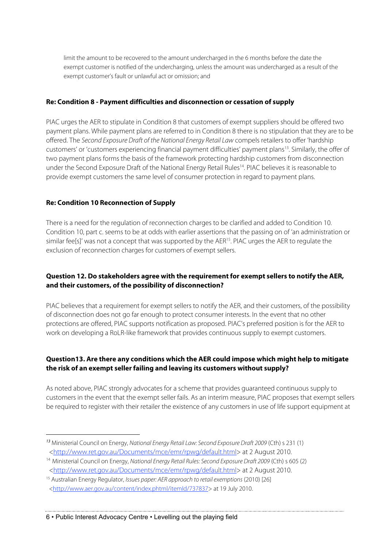limit the amount to be recovered to the amount undercharged in the 6 months before the date the exempt customer is notified of the undercharging, unless the amount was undercharged as a result of the exempt customer's fault or unlawful act or omission; and

#### **Re: Condition 8 - Payment difficulties and disconnection or cessation of supply**

PIAC urges the AER to stipulate in Condition 8 that customers of exempt suppliers should be offered two payment plans. While payment plans are referred to in Condition 8 there is no stipulation that they are to be offered. The Second Exposure Draft of the National Energy Retail Law compels retailers to offer 'hardship customers' or 'customers experiencing financial payment difficulties' payment plans<sup>13</sup>. Similarly, the offer of two payment plans forms the basis of the framework protecting hardship customers from disconnection under the Second Exposure Draft of the National Energy Retail Rules<sup>14</sup>. PIAC believes it is reasonable to provide exempt customers the same level of consumer protection in regard to payment plans.

#### **Re: Condition 10 Reconnection of Supply**

 $\overline{a}$ 

There is a need for the regulation of reconnection charges to be clarified and added to Condition 10. Condition 10, part c. seems to be at odds with earlier assertions that the passing on of 'an administration or similar fee[s]' was not a concept that was supported by the AER<sup>15</sup>. PIAC urges the AER to regulate the exclusion of reconnection charges for customers of exempt sellers.

#### **Question 12. Do stakeholders agree with the requirement for exempt sellers to notify the AER, and their customers, of the possibility of disconnection?**

PIAC believes that a requirement for exempt sellers to notify the AER, and their customers, of the possibility of disconnection does not go far enough to protect consumer interests. In the event that no other protections are offered, PIAC supports notification as proposed. PIAC's preferred position is for the AER to work on developing a RoLR-like framework that provides continuous supply to exempt customers.

#### **Question13. Are there any conditions which the AER could impose which might help to mitigate the risk of an exempt seller failing and leaving its customers without supply?**

As noted above, PIAC strongly advocates for a scheme that provides guaranteed continuous supply to customers in the event that the exempt seller fails. As an interim measure, PIAC proposes that exempt sellers be required to register with their retailer the existence of any customers in use of life support equipment at

<sup>13</sup> Ministerial Council on Energy, National Energy Retail Law: Second Exposure Draft 2009 (Cth) s 231 (1) <http://www.ret.gov.au/Documents/mce/emr/rpwg/default.html> at 2 August 2010.

<sup>&</sup>lt;sup>14</sup> Ministerial Council on Energy, National Energy Retail Rules: Second Exposure Draft 2009 (Cth) s 605 (2) <http://www.ret.gov.au/Documents/mce/emr/rpwg/default.html> at 2 August 2010.

<sup>&</sup>lt;sup>15</sup> Australian Energy Regulator, Issues paper: AER approach to retail exemptions (2010) [26]

<sup>&</sup>lt;http://www.aer.gov.au/content/index.phtml/itemId/737837> at 19 July 2010.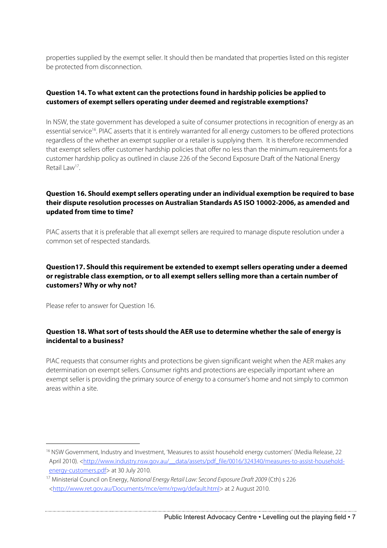properties supplied by the exempt seller. It should then be mandated that properties listed on this register be protected from disconnection.

#### **Question 14. To what extent can the protections found in hardship policies be applied to customers of exempt sellers operating under deemed and registrable exemptions?**

In NSW, the state government has developed a suite of consumer protections in recognition of energy as an essential service<sup>16</sup>. PIAC asserts that it is entirely warranted for all energy customers to be offered protections regardless of the whether an exempt supplier or a retailer is supplying them. It is therefore recommended that exempt sellers offer customer hardship policies that offer no less than the minimum requirements for a customer hardship policy as outlined in clause 226 of the Second Exposure Draft of the National Energy Retail Law17.

#### **Question 16. Should exempt sellers operating under an individual exemption be required to base their dispute resolution processes on Australian Standards AS ISO 10002-2006, as amended and updated from time to time?**

PIAC asserts that it is preferable that all exempt sellers are required to manage dispute resolution under a common set of respected standards.

#### **Question17. Should this requirement be extended to exempt sellers operating under a deemed or registrable class exemption, or to all exempt sellers selling more than a certain number of customers? Why or why not?**

Please refer to answer for Question 16.

#### **Question 18. What sort of tests should the AER use to determine whether the sale of energy is incidental to a business?**

PIAC requests that consumer rights and protections be given significant weight when the AER makes any determination on exempt sellers. Consumer rights and protections are especially important where an exempt seller is providing the primary source of energy to a consumer's home and not simply to common areas within a site.

<sup>&</sup>lt;sup>16</sup> NSW Government, Industry and Investment, 'Measures to assist household energy customers' (Media Release, 22 April 2010). <http://www.industry.nsw.gov.au/ data/assets/pdf file/0016/324340/measures-to-assist-householdenergy-customers.pdf> at 30 July 2010.

<sup>&</sup>lt;sup>17</sup> Ministerial Council on Energy, National Energy Retail Law: Second Exposure Draft 2009 (Cth) s 226 <http://www.ret.gov.au/Documents/mce/emr/rpwg/default.html> at 2 August 2010.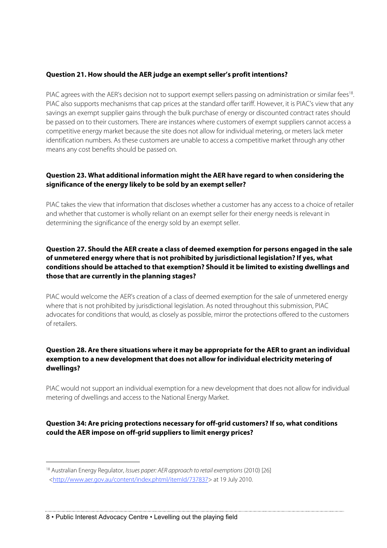#### **Question 21. How should the AER judge an exempt seller's profit intentions?**

PIAC agrees with the AER's decision not to support exempt sellers passing on administration or similar fees<sup>18</sup>. PIAC also supports mechanisms that cap prices at the standard offer tariff. However, it is PIAC's view that any savings an exempt supplier gains through the bulk purchase of energy or discounted contract rates should be passed on to their customers. There are instances where customers of exempt suppliers cannot access a competitive energy market because the site does not allow for individual metering, or meters lack meter identification numbers. As these customers are unable to access a competitive market through any other means any cost benefits should be passed on.

#### **Question 23. What additional information might the AER have regard to when considering the significance of the energy likely to be sold by an exempt seller?**

PIAC takes the view that information that discloses whether a customer has any access to a choice of retailer and whether that customer is wholly reliant on an exempt seller for their energy needs is relevant in determining the significance of the energy sold by an exempt seller.

#### **Question 27. Should the AER create a class of deemed exemption for persons engaged in the sale of unmetered energy where that is not prohibited by jurisdictional legislation? If yes, what conditions should be attached to that exemption? Should it be limited to existing dwellings and those that are currently in the planning stages?**

PIAC would welcome the AER's creation of a class of deemed exemption for the sale of unmetered energy where that is not prohibited by jurisdictional legislation. As noted throughout this submission, PIAC advocates for conditions that would, as closely as possible, mirror the protections offered to the customers of retailers.

#### **Question 28. Are there situations where it may be appropriate for the AER to grant an individual exemption to a new development that does not allow for individual electricity metering of dwellings?**

PIAC would not support an individual exemption for a new development that does not allow for individual metering of dwellings and access to the National Energy Market.

**Question 34: Are pricing protections necessary for off-grid customers? If so, what conditions could the AER impose on off-grid suppliers to limit energy prices?**

 $\overline{a}$ 

<sup>&</sup>lt;sup>18</sup> Australian Energy Regulator, Issues paper: AER approach to retail exemptions (2010) [26] <http://www.aer.gov.au/content/index.phtml/itemId/737837> at 19 July 2010.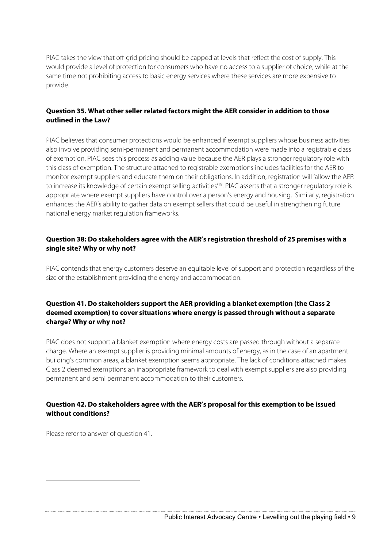PIAC takes the view that off-grid pricing should be capped at levels that reflect the cost of supply. This would provide a level of protection for consumers who have no access to a supplier of choice, while at the same time not prohibiting access to basic energy services where these services are more expensive to provide.

#### **Question 35. What other seller related factors might the AER consider in addition to those outlined in the Law?**

PIAC believes that consumer protections would be enhanced if exempt suppliers whose business activities also involve providing semi-permanent and permanent accommodation were made into a registrable class of exemption. PIAC sees this process as adding value because the AER plays a stronger regulatory role with this class of exemption. The structure attached to registrable exemptions includes facilities for the AER to monitor exempt suppliers and educate them on their obligations. In addition, registration will 'allow the AER to increase its knowledge of certain exempt selling activities<sup>'19</sup>. PIAC asserts that a stronger regulatory role is appropriate where exempt suppliers have control over a person's energy and housing. Similarly, registration enhances the AER's ability to gather data on exempt sellers that could be useful in strengthening future national energy market regulation frameworks.

#### **Question 38: Do stakeholders agree with the AER's registration threshold of 25 premises with a single site? Why or why not?**

PIAC contends that energy customers deserve an equitable level of support and protection regardless of the size of the establishment providing the energy and accommodation.

#### **Question 41. Do stakeholders support the AER providing a blanket exemption (the Class 2 deemed exemption) to cover situations where energy is passed through without a separate charge? Why or why not?**

PIAC does not support a blanket exemption where energy costs are passed through without a separate charge. Where an exempt supplier is providing minimal amounts of energy, as in the case of an apartment building's common areas, a blanket exemption seems appropriate. The lack of conditions attached makes Class 2 deemed exemptions an inappropriate framework to deal with exempt suppliers are also providing permanent and semi permanent accommodation to their customers.

#### **Question 42. Do stakeholders agree with the AER's proposal for this exemption to be issued without conditions?**

Please refer to answer of question 41.